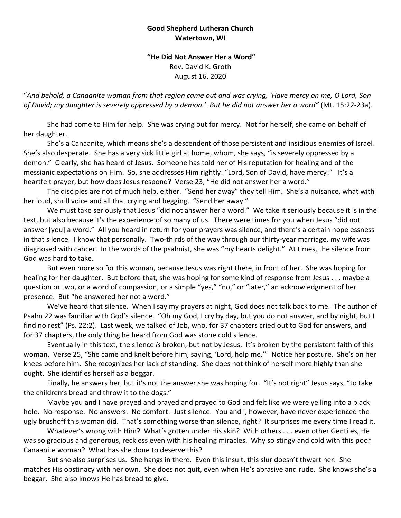## **Good Shepherd Lutheran Church Watertown, WI**

## **"He Did Not Answer Her a Word"** Rev. David K. Groth August 16, 2020

"*And behold, a Canaanite woman from that region came out and was crying, 'Have mercy on me, O Lord, Son of David; my daughter is severely oppressed by a demon.' But he did not answer her a word"* (Mt. 15:22-23a).

She had come to Him for help. She was crying out for mercy. Not for herself, she came on behalf of her daughter.

She's a Canaanite, which means she's a descendent of those persistent and insidious enemies of Israel. She's also desperate. She has a very sick little girl at home, whom, she says, "is severely oppressed by a demon." Clearly, she has heard of Jesus. Someone has told her of His reputation for healing and of the messianic expectations on Him. So, she addresses Him rightly: "Lord, Son of David, have mercy!" It's a heartfelt prayer, but how does Jesus respond? Verse 23, "He did not answer her a word."

The disciples are not of much help, either. "Send her away" they tell Him. She's a nuisance, what with her loud, shrill voice and all that crying and begging. "Send her away."

We must take seriously that Jesus "did not answer her a word." We take it seriously because it is in the text, but also because it's the experience of so many of us. There were times for you when Jesus "did not answer [you] a word." All you heard in return for your prayers was silence, and there's a certain hopelessness in that silence. I know that personally. Two-thirds of the way through our thirty-year marriage, my wife was diagnosed with cancer. In the words of the psalmist, she was "my hearts delight." At times, the silence from God was hard to take.

But even more so for this woman, because Jesus was right there, in front of her. She was hoping for healing for her daughter. But before that, she was hoping for some kind of response from Jesus . . . maybe a question or two, or a word of compassion, or a simple "yes," "no," or "later," an acknowledgment of her presence. But "he answered her not a word."

We've heard that silence. When I say my prayers at night, God does not talk back to me. The author of Psalm 22 was familiar with God's silence. "Oh my God, I cry by day, but you do not answer, and by night, but I find no rest" (Ps. 22:2). Last week, we talked of Job, who, for 37 chapters cried out to God for answers, and for 37 chapters, the only thing he heard from God was stone cold silence.

Eventually in this text, the silence *is* broken, but not by Jesus. It's broken by the persistent faith of this woman. Verse 25, "She came and knelt before him, saying, 'Lord, help me.'" Notice her posture. She's on her knees before him. She recognizes her lack of standing. She does not think of herself more highly than she ought. She identifies herself as a beggar.

Finally, he answers her, but it's not the answer she was hoping for. "It's not right" Jesus says, "to take the children's bread and throw it to the dogs."

Maybe you and I have prayed and prayed and prayed to God and felt like we were yelling into a black hole. No response. No answers. No comfort. Just silence. You and I, however, have never experienced the ugly brushoff this woman did. That's something worse than silence, right? It surprises me every time I read it.

Whatever's wrong with Him? What's gotten under His skin? With others . . . even other Gentiles, He was so gracious and generous, reckless even with his healing miracles. Why so stingy and cold with this poor Canaanite woman? What has she done to deserve this?

But she also surprises us. She hangs in there. Even this insult, this slur doesn't thwart her. She matches His obstinacy with her own. She does not quit, even when He's abrasive and rude. She knows she's a beggar. She also knows He has bread to give.